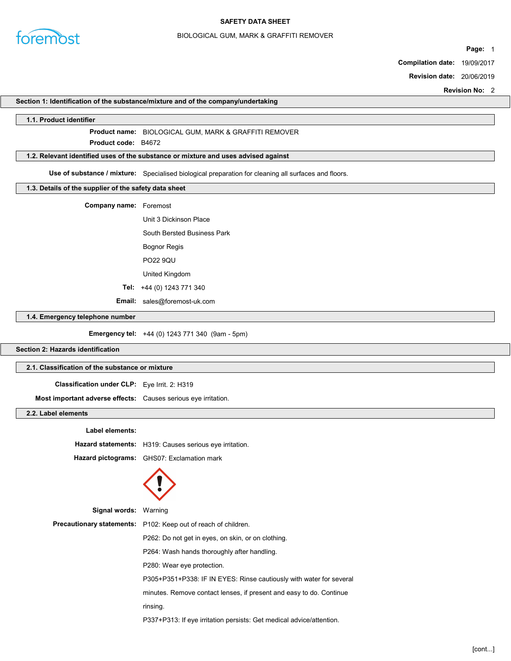

### BIOLOGICAL GUM, MARK & GRAFFITI REMOVER

Page: 1

Compilation date: 19/09/2017

Revision date: 20/06/2019

Revision No: 2

### Section 1: Identification of the substance/mixture and of the company/undertaking

### 1.1. Product identifier

Product name: BIOLOGICAL GUM, MARK & GRAFFITI REMOVER

Product **code**: B4672

### 1.2. Relevant identified uses of the substance or mixture and uses advised against

Use of substance / mixture: Specialised biological preparation for cleaning all surfaces and floors.

## 1.3. Details of the supplier of the safety data sheet

Company name: Foremost

Unit 3 Dickinson Place South Bersted Business Park Bognor Regis PO22 9QU United Kingdom

Tel: +44 (0) 1243 771 340

Email: sales@foremost-uk.com

1.4. Emergency telephone number

Emergency tel: +44 (0) 1243 771 340 (9am - 5pm)

## Section 2: Hazards identification

### 2.1. Classification of the substance or mixture

Classification under CLP: Eye Irrit. 2: H319

Most important adverse effects: Causes serious eye irritation.

## 2.2. Label elements

| Label elements: |                                                                       |
|-----------------|-----------------------------------------------------------------------|
|                 | Hazard statements: H319: Causes serious eye irritation.               |
|                 | Hazard pictograms: GHS07: Exclamation mark                            |
|                 |                                                                       |
| Signal words:   | Warning                                                               |
|                 | <b>Precautionary statements:</b> P102: Keep out of reach of children. |
|                 | P262: Do not get in eyes, on skin, or on clothing.                    |
|                 | P264: Wash hands thoroughly after handling.                           |
|                 | P280: Wear eye protection.                                            |
|                 | P305+P351+P338: IF IN EYES: Rinse cautiously with water for several   |
|                 | minutes. Remove contact lenses, if present and easy to do. Continue   |
|                 | rinsing.                                                              |
|                 | P337+P313: If eye irritation persists: Get medical advice/attention.  |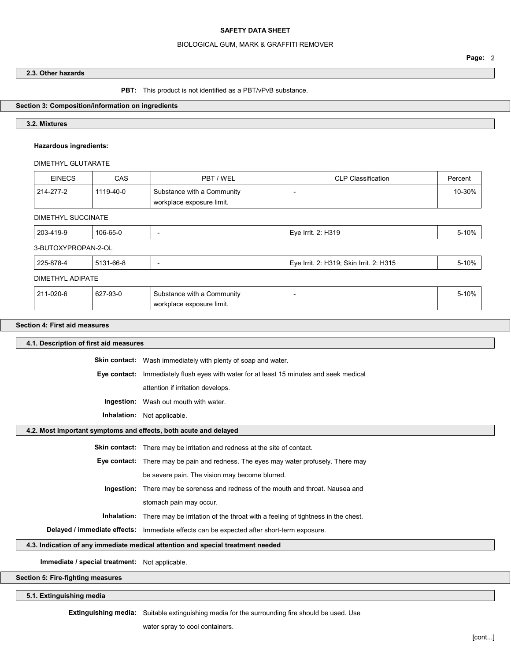### BIOLOGICAL GUM, MARK & GRAFFITI REMOVER

## 2.3. Other hazards

### PBT: This product is not identified as a PBT/vPvB substance.

# Section 3: Composition/information on ingredients

## 3.2. Mixtures

## Hazardous ingredients:

### DIMETHYL GLUTARATE

| <b>EINECS</b>             | <b>CAS</b>                              | PBT / WEL                                               | <b>CLP Classification</b>               | Percent |  |  |  |
|---------------------------|-----------------------------------------|---------------------------------------------------------|-----------------------------------------|---------|--|--|--|
| 214-277-2                 | 1119-40-0                               | Substance with a Community<br>workplace exposure limit. |                                         | 10-30%  |  |  |  |
| <b>DIMETHYL SUCCINATE</b> |                                         |                                                         |                                         |         |  |  |  |
| 203-419-9                 | 106-65-0<br>Eye Irrit. 2: H319<br>5-10% |                                                         |                                         |         |  |  |  |
| 3-BUTOXYPROPAN-2-OL       |                                         |                                                         |                                         |         |  |  |  |
| 225-878-4                 | 5131-66-8                               |                                                         | Eye Irrit. 2: H319; Skin Irrit. 2: H315 | 5-10%   |  |  |  |
| DIMETHYL ADIPATE          |                                         |                                                         |                                         |         |  |  |  |
| 211-020-6                 | 627-93-0                                | Substance with a Community<br>workplace exposure limit. | ٠                                       | 5-10%   |  |  |  |

### Section 4: First aid measures

| 4.1. Description of first aid measures                                                             |                                                                                            |  |  |
|----------------------------------------------------------------------------------------------------|--------------------------------------------------------------------------------------------|--|--|
|                                                                                                    | <b>Skin contact:</b> Wash immediately with plenty of soap and water.                       |  |  |
| Eye contact:                                                                                       | Immediately flush eyes with water for at least 15 minutes and seek medical                 |  |  |
|                                                                                                    | attention if irritation develops.                                                          |  |  |
|                                                                                                    | <b>Ingestion:</b> Wash out mouth with water.                                               |  |  |
|                                                                                                    | Inhalation: Not applicable.                                                                |  |  |
| 4.2. Most important symptoms and effects, both acute and delayed                                   |                                                                                            |  |  |
|                                                                                                    | <b>Skin contact:</b> There may be irritation and redness at the site of contact.           |  |  |
|                                                                                                    | <b>Eye contact:</b> There may be pain and redness. The eyes may water profusely. There may |  |  |
|                                                                                                    | be severe pain. The vision may become blurred.                                             |  |  |
|                                                                                                    | <b>Ingestion:</b> There may be soreness and redness of the mouth and throat. Nausea and    |  |  |
|                                                                                                    | stomach pain may occur.                                                                    |  |  |
| <b>Inhalation:</b> There may be irritation of the throat with a feeling of tightness in the chest. |                                                                                            |  |  |
| Delayed / immediate effects: Immediate effects can be expected after short-term exposure.          |                                                                                            |  |  |
| 4.3. Indication of any immediate medical attention and special treatment needed                    |                                                                                            |  |  |
| Immediate / special treatment: Not applicable.                                                     |                                                                                            |  |  |
| Section 5: Fire-fighting measures                                                                  |                                                                                            |  |  |

## 5.1. Extinguishing media

Extinguishing media: Suitable extinguishing media for the surrounding fire should be used. Use

water spray to cool containers.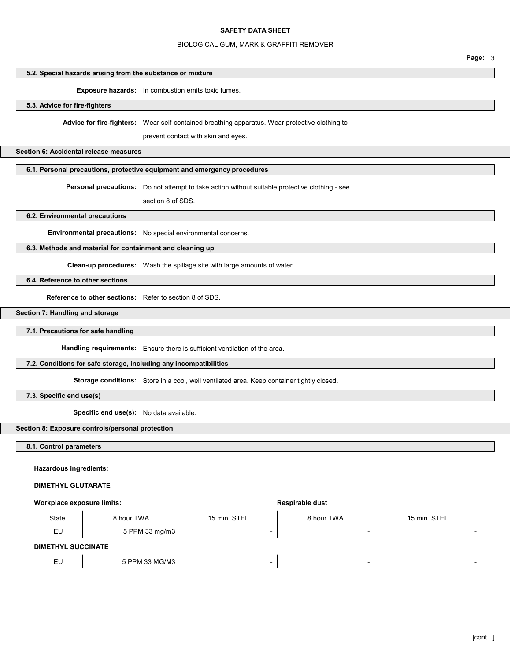### BIOLOGICAL GUM, MARK & GRAFFITI REMOVER

| 5.2. Special hazards arising from the substance or mixture |                                                                                                                                              |
|------------------------------------------------------------|----------------------------------------------------------------------------------------------------------------------------------------------|
|                                                            | <b>Exposure hazards:</b> In combustion emits toxic fumes.                                                                                    |
| 5.3. Advice for fire-fighters                              |                                                                                                                                              |
|                                                            | <b>Advice for fire-fighters:</b> Wear self-contained breathing apparatus. Wear protective clothing to<br>prevent contact with skin and eyes. |
| Section 6: Accidental release measures                     |                                                                                                                                              |

## 6.1. Personal precautions, protective equipment and emergency procedures

Personal precautions: Do not attempt to take action without suitable protective clothing - see

section 8 of SDS.

6.2. Environmental precautions

Environmental precautions: No special environmental concerns.

## 6.3. Methods and material for containment and cleaning up

Clean-up procedures: Wash the spillage site with large amounts of water.

6.4. Reference to other sections

Reference to other sections: Refer to section 8 of SDS.

Section 7: Handling and storage

7.1. Precautions for safe handling

Handling requirements: Ensure there is sufficient ventilation of the area.

# 7.2. Conditions for safe storage, including any incompatibilities

Storage conditions: Store in a cool, well ventilated area. Keep container tightly closed.

7.3. Specific end use(s)

Specific end use(s): No data available.

# Section 8: Exposure controls/personal protection

8.1. Control parameters

## Hazardous ingredients:

## DIMETHYL GLUTARATE

### Workplace exposure limits: Respirable dust

| State | <b>8 hour TWA</b> | 15 min STFI | 8 hour TWA | <b>STEL</b><br>15 min. |
|-------|-------------------|-------------|------------|------------------------|
| ᆮ     | 5 PPM 33 mg/m3    | -           |            |                        |

# DIMETHYL SUCCINATE

|  | $\sim$<br>--<br>$-$ | יה<br>' ∋/MJ |  |  |  |
|--|---------------------|--------------|--|--|--|
|--|---------------------|--------------|--|--|--|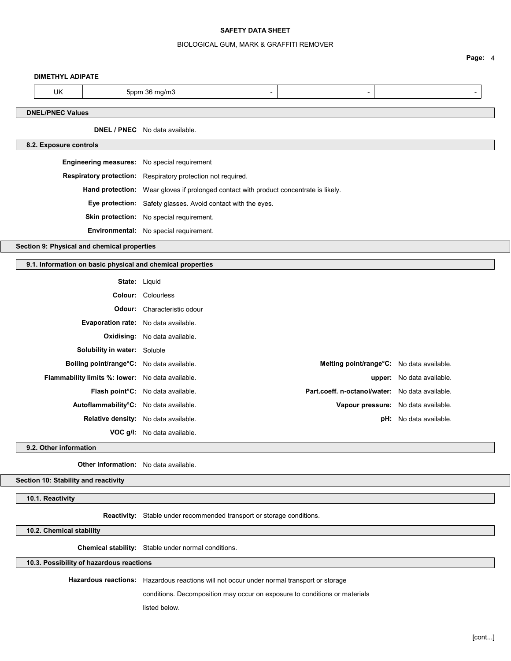### BIOLOGICAL GUM, MARK & GRAFFITI REMOVER

Page: 4

#### DIMETHYL ADIPATE

L

| UK                                    | 5ppm 36 mg/m3 |  |  |  |  |  |
|---------------------------------------|---------------|--|--|--|--|--|
| <b>DNEL/PNEC Values</b>               |               |  |  |  |  |  |
| <b>DNEL / PNEC</b> No data available. |               |  |  |  |  |  |
| 8.2. Exposure controls                |               |  |  |  |  |  |

| <b>Engineering measures:</b> No special requirement |                                                                                              |
|-----------------------------------------------------|----------------------------------------------------------------------------------------------|
|                                                     | <b>Respiratory protection:</b> Respiratory protection not required.                          |
|                                                     | <b>Hand protection:</b> Wear gloves if prolonged contact with product concentrate is likely. |
|                                                     | <b>Eye protection:</b> Safety glasses. Avoid contact with the eyes.                          |
|                                                     | <b>Skin protection:</b> No special requirement.                                              |
|                                                     | <b>Environmental:</b> No special requirement.                                                |
|                                                     |                                                                                              |

Section 9: Physical and chemical properties

### 9.1. Information on basic physical and chemical properties

|                                                                                                                                                                                                                                                                                                                                                                                                                                                                                           | upper: No data available.                                                                                                           |
|-------------------------------------------------------------------------------------------------------------------------------------------------------------------------------------------------------------------------------------------------------------------------------------------------------------------------------------------------------------------------------------------------------------------------------------------------------------------------------------------|-------------------------------------------------------------------------------------------------------------------------------------|
|                                                                                                                                                                                                                                                                                                                                                                                                                                                                                           |                                                                                                                                     |
|                                                                                                                                                                                                                                                                                                                                                                                                                                                                                           |                                                                                                                                     |
|                                                                                                                                                                                                                                                                                                                                                                                                                                                                                           | <b>pH:</b> No data available.                                                                                                       |
|                                                                                                                                                                                                                                                                                                                                                                                                                                                                                           |                                                                                                                                     |
| <b>State:</b> Liquid<br><b>Colour:</b> Colourless<br><b>Odour:</b> Characteristic odour<br><b>Evaporation rate:</b> No data available.<br><b>Oxidising:</b> No data available.<br>Solubility in water: Soluble<br>Boiling point/range°C: No data available.<br>Flammability limits %: lower: No data available.<br>Flash point <sup>°</sup> C: No data available.<br>Autoflammability°C: No data available.<br>Relative density: No data available.<br><b>VOC g/l:</b> No data available. | Melting point/range°C: No data available.<br>Part.coeff. n-octanol/water: No data available.<br>Vapour pressure: No data available. |

9.2. Other information

Other information: No data available.

Section 10: Stability and reactivity

10.1. Reactivity

Reactivity: Stable under recommended transport or storage conditions.

10.2. Chemical stability

Chemical stability: Stable under normal conditions.

10.3. Possibility of hazardous reactions

Hazardous reactions: Hazardous reactions will not occur under normal transport or storage

conditions. Decomposition may occur on exposure to conditions or materials

listed below.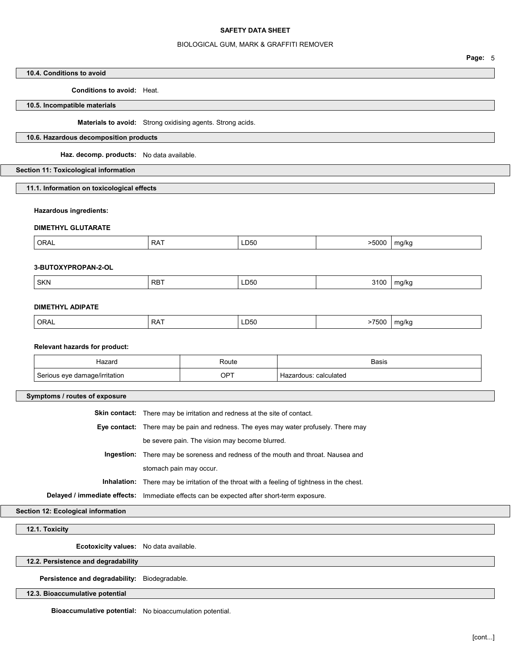### BIOLOGICAL GUM, MARK & GRAFFITI REMOVER

### 10.4. Conditions to avoid

Conditions to avoid: Heat.

## 10.5. Incompatible materials

Materials to avoid: Strong oxidising agents. Strong acids.

## 10.6. Hazardous decomposition products

Haz. decomp. products: No data available.

## Section 11: Toxicological information

11.1. Information on toxicological effects

## Hazardous ingredients:

### DIMETHYL GLUTARATE

| >5000<br>ORAL<br><b>RAT</b><br>LD50<br>ma/ko<br>___ |  |
|-----------------------------------------------------|--|
|-----------------------------------------------------|--|

## 3-BUTOXYPROPAN-2-OL

|  | SKN | RB <sup>-</sup> | LD50 | $\sim$<br>$  -$ | 17 K C<br>$\cdot$<br>. . |
|--|-----|-----------------|------|-----------------|--------------------------|
|--|-----|-----------------|------|-----------------|--------------------------|

## DIMETHYL ADIPATE

| ORAL <sup>'</sup> | <b>RAT</b> | LD50 | 7500 | ma/ko |
|-------------------|------------|------|------|-------|
|-------------------|------------|------|------|-------|

#### Relevant hazards for product:

| Hazaro    | Route | Basis                  |
|-----------|-------|------------------------|
|           |       |                        |
| ˈrɪtatɪor | OPT   | calculated<br>$\cdots$ |

### Symptoms / routes of exposure

| <b>Skin contact:</b> There may be irritation and redness at the site of contact.                   |
|----------------------------------------------------------------------------------------------------|
| <b>Eye contact:</b> There may be pain and redness. The eyes may water profusely. There may         |
| be severe pain. The vision may become blurred.                                                     |
| Ingestion: There may be soreness and redness of the mouth and throat. Nausea and                   |
| stomach pain may occur.                                                                            |
| <b>Inhalation:</b> There may be irritation of the throat with a feeling of tightness in the chest. |
| Delayed / immediate effects: Immediate effects can be expected after short-term exposure.          |

Section 12: Ecological information

12.1. Toxicity

Ecotoxicity values: No data available.

12.2. Persistence and degradability

Persistence and degradability: Biodegradable.

12.3. Bioaccumulative potential

Bioaccumulative potential: No bioaccumulation potential.